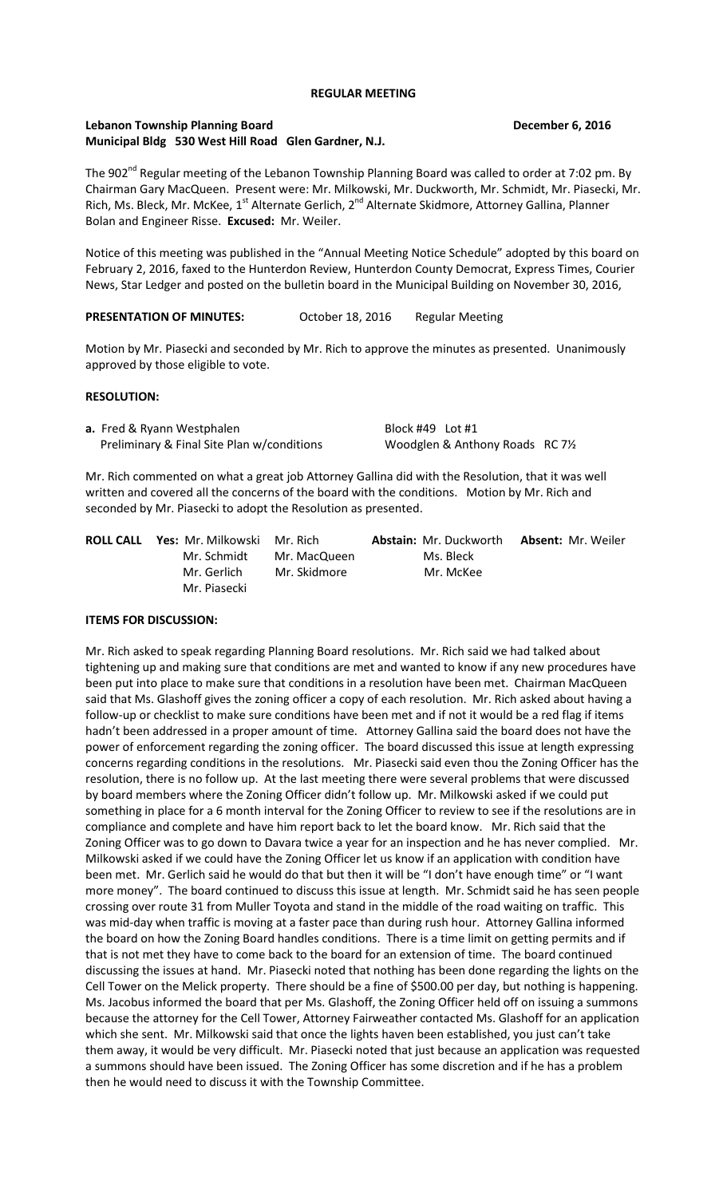### **REGULAR MEETING**

## **Lebanon Township Planning Board December 6, 2016 Municipal Bldg 530 West Hill Road Glen Gardner, N.J.**

The 902<sup>nd</sup> Regular meeting of the Lebanon Township Planning Board was called to order at 7:02 pm. By Chairman Gary MacQueen. Present were: Mr. Milkowski, Mr. Duckworth, Mr. Schmidt, Mr. Piasecki, Mr. Rich, Ms. Bleck, Mr. McKee, 1<sup>st</sup> Alternate Gerlich, 2<sup>nd</sup> Alternate Skidmore, Attorney Gallina, Planner Bolan and Engineer Risse. **Excused:** Mr. Weiler.

Notice of this meeting was published in the "Annual Meeting Notice Schedule" adopted by this board on February 2, 2016, faxed to the Hunterdon Review, Hunterdon County Democrat, Express Times, Courier News, Star Ledger and posted on the bulletin board in the Municipal Building on November 30, 2016,

PRESENTATION OF MINUTES: October 18, 2016 Regular Meeting

Motion by Mr. Piasecki and seconded by Mr. Rich to approve the minutes as presented. Unanimously approved by those eligible to vote.

# **RESOLUTION:**

**a.** Fred & Ryann Westphalen Block #49 Lot #1 Preliminary & Final Site Plan w/conditions Woodglen & Anthony Roads RC 71/2

Mr. Rich commented on what a great job Attorney Gallina did with the Resolution, that it was well written and covered all the concerns of the board with the conditions. Motion by Mr. Rich and seconded by Mr. Piasecki to adopt the Resolution as presented.

| <b>ROLL CALL Yes: Mr. Milkowski Mr. Rich</b> |              | <b>Abstain:</b> Mr. Duckworth | <b>Absent: Mr. Weiler</b> |
|----------------------------------------------|--------------|-------------------------------|---------------------------|
| Mr. Schmidt                                  | Mr. MacQueen | Ms. Bleck                     |                           |
| Mr. Gerlich                                  | Mr. Skidmore | Mr. McKee                     |                           |
| Mr. Piasecki                                 |              |                               |                           |

# **ITEMS FOR DISCUSSION:**

Mr. Rich asked to speak regarding Planning Board resolutions. Mr. Rich said we had talked about tightening up and making sure that conditions are met and wanted to know if any new procedures have been put into place to make sure that conditions in a resolution have been met. Chairman MacQueen said that Ms. Glashoff gives the zoning officer a copy of each resolution. Mr. Rich asked about having a follow-up or checklist to make sure conditions have been met and if not it would be a red flag if items hadn't been addressed in a proper amount of time. Attorney Gallina said the board does not have the power of enforcement regarding the zoning officer. The board discussed this issue at length expressing concerns regarding conditions in the resolutions. Mr. Piasecki said even thou the Zoning Officer has the resolution, there is no follow up. At the last meeting there were several problems that were discussed by board members where the Zoning Officer didn't follow up. Mr. Milkowski asked if we could put something in place for a 6 month interval for the Zoning Officer to review to see if the resolutions are in compliance and complete and have him report back to let the board know. Mr. Rich said that the Zoning Officer was to go down to Davara twice a year for an inspection and he has never complied. Mr. Milkowski asked if we could have the Zoning Officer let us know if an application with condition have been met. Mr. Gerlich said he would do that but then it will be "I don't have enough time" or "I want more money". The board continued to discuss this issue at length. Mr. Schmidt said he has seen people crossing over route 31 from Muller Toyota and stand in the middle of the road waiting on traffic. This was mid-day when traffic is moving at a faster pace than during rush hour. Attorney Gallina informed the board on how the Zoning Board handles conditions. There is a time limit on getting permits and if that is not met they have to come back to the board for an extension of time. The board continued discussing the issues at hand. Mr. Piasecki noted that nothing has been done regarding the lights on the Cell Tower on the Melick property. There should be a fine of \$500.00 per day, but nothing is happening. Ms. Jacobus informed the board that per Ms. Glashoff, the Zoning Officer held off on issuing a summons because the attorney for the Cell Tower, Attorney Fairweather contacted Ms. Glashoff for an application which she sent. Mr. Milkowski said that once the lights haven been established, you just can't take them away, it would be very difficult. Mr. Piasecki noted that just because an application was requested a summons should have been issued. The Zoning Officer has some discretion and if he has a problem then he would need to discuss it with the Township Committee.